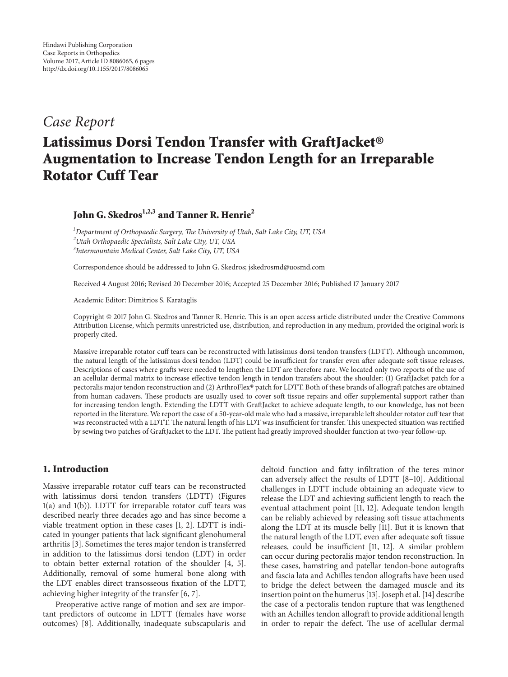## *Case Report*

# Latissimus Dorsi Tendon Transfer with GraftJacket<sup>®</sup> **Augmentation to Increase Tendon Length for an Irreparable Rotator Cuff Tear**

### **John G. Skedros1,2,3 and Tanner R. Henrie2**

*1 Department of Orthopaedic Surgery, The University of Utah, Salt Lake City, UT, USA 2 Utah Orthopaedic Specialists, Salt Lake City, UT, USA 3 Intermountain Medical Center, Salt Lake City, UT, USA*

Correspondence should be addressed to John G. Skedros; jskedrosmd@uosmd.com

Received 4 August 2016; Revised 20 December 2016; Accepted 25 December 2016; Published 17 January 2017

Academic Editor: Dimitrios S. Karataglis

Copyright © 2017 John G. Skedros and Tanner R. Henrie. This is an open access article distributed under the Creative Commons Attribution License, which permits unrestricted use, distribution, and reproduction in any medium, provided the original work is properly cited.

Massive irreparable rotator cuff tears can be reconstructed with latissimus dorsi tendon transfers (LDTT). Although uncommon, the natural length of the latissimus dorsi tendon (LDT) could be insufficient for transfer even after adequate soft tissue releases. Descriptions of cases where grafts were needed to lengthen the LDT are therefore rare. We located only two reports of the use of an acellular dermal matrix to increase effective tendon length in tendon transfers about the shoulder: (1) GraftJacket patch for a pectoralis major tendon reconstruction and (2) ArthroFlex® patch for LDTT. Both of these brands of allograft patches are obtained from human cadavers. These products are usually used to cover soft tissue repairs and offer supplemental support rather than for increasing tendon length. Extending the LDTT with GraftJacket to achieve adequate length, to our knowledge, has not been reported in the literature. We report the case of a 50-year-old male who had a massive, irreparable left shoulder rotator cuff tear that was reconstructed with a LDTT. The natural length of his LDT was insufficient for transfer. This unexpected situation was rectified by sewing two patches of GraftJacket to the LDT. The patient had greatly improved shoulder function at two-year follow-up.

#### **1. Introduction**

Massive irreparable rotator cuff tears can be reconstructed with latissimus dorsi tendon transfers (LDTT) (Figures [1\(a\)](#page-3-0) and [1\(b\)\)](#page-3-1). LDTT for irreparable rotator cuff tears was described nearly three decades ago and has since become a viable treatment option in these cases [\[1](#page-4-0), [2](#page-4-1)]. LDTT is indicated in younger patients that lack significant glenohumeral arthritis [\[3\]](#page-4-2). Sometimes the teres major tendon is transferred in addition to the latissimus dorsi tendon (LDT) in order to obtain better external rotation of the shoulder [\[4](#page-4-3), [5\]](#page-4-4). Additionally, removal of some humeral bone along with the LDT enables direct transosseous fixation of the LDTT, achieving higher integrity of the transfer [\[6,](#page-4-5) [7](#page-4-6)].

Preoperative active range of motion and sex are important predictors of outcome in LDTT (females have worse outcomes) [\[8\]](#page-4-7). Additionally, inadequate subscapularis and deltoid function and fatty infiltration of the teres minor can adversely affect the results of LDTT [\[8](#page-4-7)[–10\]](#page-5-0). Additional challenges in LDTT include obtaining an adequate view to release the LDT and achieving sufficient length to reach the eventual attachment point [\[11](#page-5-1), [12\]](#page-5-2). Adequate tendon length can be reliably achieved by releasing soft tissue attachments along the LDT at its muscle belly [\[11\]](#page-5-1). But it is known that the natural length of the LDT, even after adequate soft tissue releases, could be insufficient [\[11](#page-5-1), [12\]](#page-5-2). A similar problem can occur during pectoralis major tendon reconstruction. In these cases, hamstring and patellar tendon-bone autografts and fascia lata and Achilles tendon allografts have been used to bridge the defect between the damaged muscle and its insertion point on the humerus [\[13\]](#page-5-3). Joseph et al. [\[14](#page-5-4)] describe the case of a pectoralis tendon rupture that was lengthened with an Achilles tendon allograft to provide additional length in order to repair the defect. The use of acellular dermal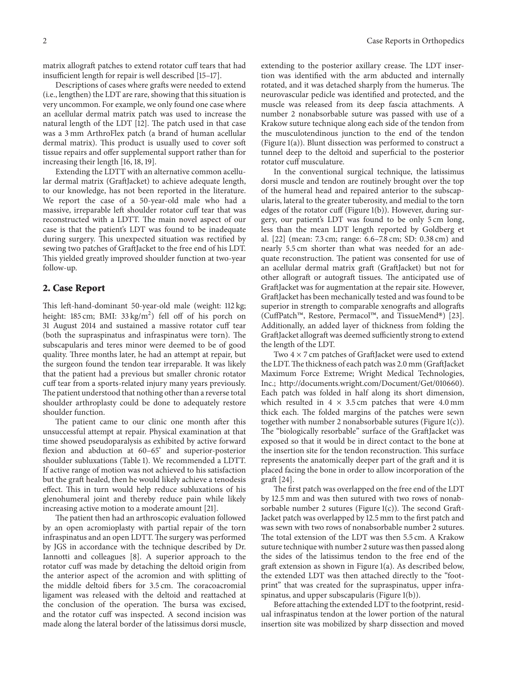matrix allograft patches to extend rotator cuff tears that had insufficient length for repair is well described [\[15](#page-5-5)[–17](#page-5-6)].

Descriptions of cases where grafts were needed to extend (i.e., lengthen) the LDT are rare, showing that this situation is very uncommon. For example, we only found one case where an acellular dermal matrix patch was used to increase the natural length of the LDT [\[12\]](#page-5-2). The patch used in that case was a 3 mm ArthroFlex patch (a brand of human acellular dermal matrix). This product is usually used to cover soft tissue repairs and offer supplemental support rather than for increasing their length [\[16](#page-5-7), [18,](#page-5-8) [19](#page-5-9)].

Extending the LDTT with an alternative common acellular dermal matrix (GraftJacket) to achieve adequate length, to our knowledge, has not been reported in the literature. We report the case of a 50-year-old male who had a massive, irreparable left shoulder rotator cuff tear that was reconstructed with a LDTT. The main novel aspect of our case is that the patient's LDT was found to be inadequate during surgery. This unexpected situation was rectified by sewing two patches of GraftJacket to the free end of his LDT. This yielded greatly improved shoulder function at two-year follow-up.

#### **2. Case Report**

This left-hand-dominant 50-year-old male (weight: 112 kg; height: 185 cm; BMI:  $33 \text{ kg/m}^2$ ) fell off of his porch on 31 August 2014 and sustained a massive rotator cuff tear (both the supraspinatus and infraspinatus were torn). The subscapularis and teres minor were deemed to be of good quality. Three months later, he had an attempt at repair, but the surgeon found the tendon tear irreparable. It was likely that the patient had a previous but smaller chronic rotator cuff tear from a sports-related injury many years previously. The patient understood that nothing other than a reverse total shoulder arthroplasty could be done to adequately restore shoulder function.

The patient came to our clinic one month after this unsuccessful attempt at repair. Physical examination at that time showed pseudoparalysis as exhibited by active forward flexion and abduction at 60–65<sup>∘</sup> and superior-posterior shoulder subluxations [\(Table 1\)](#page-2-0). We recommended a LDTT. If active range of motion was not achieved to his satisfaction but the graft healed, then he would likely achieve a tenodesis effect. This in turn would help reduce subluxations of his glenohumeral joint and thereby reduce pain while likely increasing active motion to a moderate amount [\[21](#page-5-10)].

The patient then had an arthroscopic evaluation followed by an open acromioplasty with partial repair of the torn infraspinatus and an open LDTT. The surgery was performed by JGS in accordance with the technique described by Dr. Iannotti and colleagues [\[8\]](#page-4-7). A superior approach to the rotator cuff was made by detaching the deltoid origin from the anterior aspect of the acromion and with splitting of the middle deltoid fibers for 3.5 cm. The coracoacromial ligament was released with the deltoid and reattached at the conclusion of the operation. The bursa was excised, and the rotator cuff was inspected. A second incision was made along the lateral border of the latissimus dorsi muscle,

extending to the posterior axillary crease. The LDT insertion was identified with the arm abducted and internally rotated, and it was detached sharply from the humerus. The neurovascular pedicle was identified and protected, and the muscle was released from its deep fascia attachments. A number 2 nonabsorbable suture was passed with use of a Krakow suture technique along each side of the tendon from the musculotendinous junction to the end of the tendon [\(Figure 1\(a\)\)](#page-3-0). Blunt dissection was performed to construct a tunnel deep to the deltoid and superficial to the posterior rotator cuff musculature.

In the conventional surgical technique, the latissimus dorsi muscle and tendon are routinely brought over the top of the humeral head and repaired anterior to the subscapularis, lateral to the greater tuberosity, and medial to the torn edges of the rotator cuff [\(Figure 1\(b\)\)](#page-3-1). However, during surgery, our patient's LDT was found to be only 5 cm long, less than the mean LDT length reported by Goldberg et al. [\[22](#page-5-11)] (mean: 7.3 cm; range: 6.6–7.8 cm; SD: 0.38 cm) and nearly 5.5 cm shorter than what was needed for an adequate reconstruction. The patient was consented for use of an acellular dermal matrix graft (GraftJacket) but not for other allograft or autograft tissues. The anticipated use of GraftJacket was for augmentation at the repair site. However, GraftJacket has been mechanically tested and was found to be superior in strength to comparable xenografts and allografts (CuffPatch™, Restore, Permacol™, and TissueMend®) [\[23](#page-5-12)]. Additionally, an added layer of thickness from folding the GraftJacket allograft was deemed sufficiently strong to extend the length of the LDT.

Two 4 × 7 cm patches of GraftJacket were used to extend the LDT. The thickness of each patch was 2.0 mm (GraftJacket Maximum Force Extreme; Wright Medical Technologies, Inc.; [http://documents.wright.com/Document/Get/010660\)](http://documents.wright.com/Document/Get/010660). Each patch was folded in half along its short dimension, which resulted in  $4 \times 3.5$  cm patches that were  $4.0$  mm thick each. The folded margins of the patches were sewn together with number 2 nonabsorbable sutures [\(Figure 1\(c\)\)](#page-3-2). The "biologically resorbable" surface of the GraftJacket was exposed so that it would be in direct contact to the bone at the insertion site for the tendon reconstruction. This surface represents the anatomically deeper part of the graft and it is placed facing the bone in order to allow incorporation of the graft [\[24](#page-5-13)].

The first patch was overlapped on the free end of the LDT by 12.5 mm and was then sutured with two rows of nonabsorbable number 2 sutures [\(Figure 1\(c\)\)](#page-3-2). The second Graft-Jacket patch was overlapped by 12.5 mm to the first patch and was sewn with two rows of nonabsorbable number 2 sutures. The total extension of the LDT was then 5.5 cm. A Krakow suture technique with number 2 suture was then passed along the sides of the latissimus tendon to the free end of the graft extension as shown in [Figure 1\(a\).](#page-3-0) As described below, the extended LDT was then attached directly to the "footprint" that was created for the supraspinatus, upper infraspinatus, and upper subscapularis [\(Figure 1\(b\)\)](#page-3-1).

Before attaching the extended LDT to the footprint, residual infraspinatus tendon at the lower portion of the natural insertion site was mobilized by sharp dissection and moved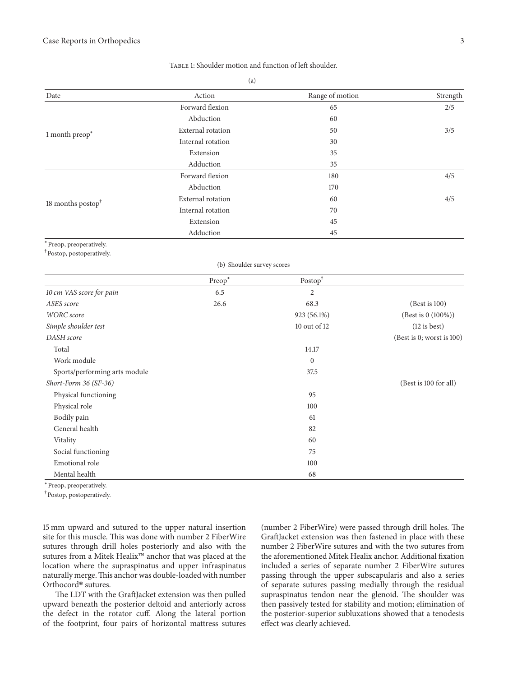| Date                                                             | Action                     | Range of motion                               | Strength                  |
|------------------------------------------------------------------|----------------------------|-----------------------------------------------|---------------------------|
| 1 month preop*                                                   | Forward flexion            | 65                                            | 2/5                       |
|                                                                  | Abduction                  | 60                                            |                           |
|                                                                  | External rotation          | 50                                            | 3/5                       |
|                                                                  | Internal rotation          | 30                                            |                           |
|                                                                  | Extension                  | 35                                            |                           |
|                                                                  | Adduction                  | 35                                            |                           |
| 18 months postop <sup>†</sup>                                    | Forward flexion            | 180                                           | 4/5                       |
|                                                                  | Abduction                  | 170                                           |                           |
|                                                                  | External rotation          | 60                                            | 4/5                       |
|                                                                  | Internal rotation          | $70\,$                                        |                           |
|                                                                  | Extension                  | 45                                            |                           |
|                                                                  | Adduction                  | 45                                            |                           |
| *Preop, preoperatively.<br><sup>†</sup> Postop, postoperatively. |                            |                                               |                           |
|                                                                  | (b) Shoulder survey scores |                                               |                           |
|                                                                  | Preop <sup>*</sup>         | $\ensuremath{\mathsf{Postop}}\xspace^\dagger$ |                           |
| 10 cm VAS score for pain                                         | 6.5                        | $\overline{2}$                                |                           |
| ASES score                                                       | 26.6                       | 68.3                                          | (Best is 100)             |
| <b>WORC</b> score                                                |                            | 923 (56.1%)                                   | (Best is 0 (100%))        |
| Simple shoulder test                                             |                            | 10 out of 12                                  | $(12$ is best)            |
| DASH score                                                       |                            |                                               | (Best is 0; worst is 100) |
| Total                                                            |                            | 14.17                                         |                           |
| Work module                                                      |                            | $\mathbf{0}$                                  |                           |
| Sports/performing arts module                                    |                            | 37.5                                          |                           |
| Short-Form 36 (SF-36)                                            |                            |                                               | (Best is 100 for all)     |
| Physical functioning                                             |                            | 95                                            |                           |
| Physical role                                                    |                            | 100                                           |                           |
| Bodily pain                                                      |                            | 61                                            |                           |
| General health                                                   |                            | 82                                            |                           |
| Vitality                                                         |                            | 60                                            |                           |
| Social functioning                                               |                            | 75                                            |                           |
| Emotional role                                                   |                            | 100                                           |                           |
| Mental health                                                    |                            | 68                                            |                           |

#### <span id="page-2-0"></span>TABLE 1: Shoulder motion and function of left shoulder.

 $(a)$ 

<sup>∗</sup>Preop, preoperatively.

† Postop, postoperatively.

15 mm upward and sutured to the upper natural insertion site for this muscle. This was done with number 2 FiberWire sutures through drill holes posteriorly and also with the sutures from a Mitek Healix<sup>™</sup> anchor that was placed at the location where the supraspinatus and upper infraspinatus naturally merge.This anchor was double-loaded with number Orthocord<sup>®</sup> sutures.

The LDT with the GraftJacket extension was then pulled upward beneath the posterior deltoid and anteriorly across the defect in the rotator cuff. Along the lateral portion of the footprint, four pairs of horizontal mattress sutures (number 2 FiberWire) were passed through drill holes. The GraftJacket extension was then fastened in place with these number 2 FiberWire sutures and with the two sutures from the aforementioned Mitek Healix anchor. Additional fixation included a series of separate number 2 FiberWire sutures passing through the upper subscapularis and also a series of separate sutures passing medially through the residual supraspinatus tendon near the glenoid. The shoulder was then passively tested for stability and motion; elimination of the posterior-superior subluxations showed that a tenodesis effect was clearly achieved.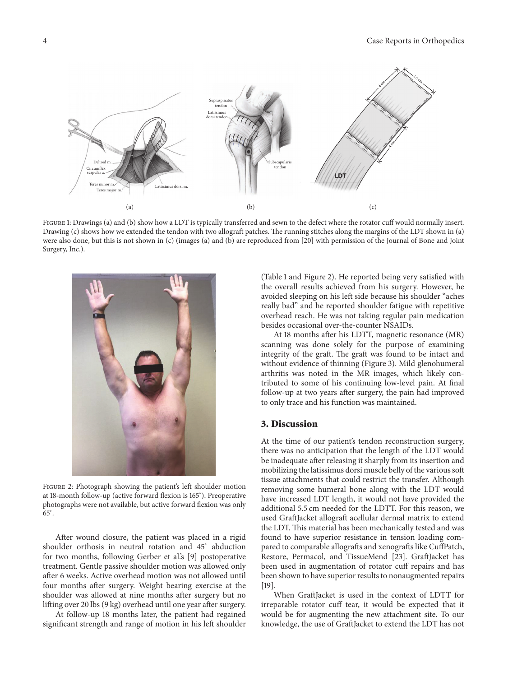<span id="page-3-0"></span>4 Case Reports in Orthopedics



FIGURE 1: Drawings (a) and (b) show how a LDT is typically transferred and sewn to the defect where the rotator cuff would normally insert. Drawing (c) shows how we extended the tendon with two allograft patches. The running stitches along the margins of the LDT shown in (a) were also done, but this is not shown in (c) (images (a) and (b) are reproduced from [\[20\]](#page-5-14) with permission of the Journal of Bone and Joint Surgery, Inc.).



Figure 2: Photograph showing the patient's left shoulder motion at 18-month follow-up (active forward flexion is 165<sup>∘</sup> ). Preoperative photographs were not available, but active forward flexion was only  $\overline{65}$ °.

<span id="page-3-3"></span>After wound closure, the patient was placed in a rigid shoulder orthosis in neutral rotation and 45<sup>∘</sup> abduction for two months, following Gerber et al.'s [\[9\]](#page-4-8) postoperative treatment. Gentle passive shoulder motion was allowed only after 6 weeks. Active overhead motion was not allowed until four months after surgery. Weight bearing exercise at the shoulder was allowed at nine months after surgery but no lifting over 20 lbs (9 kg) overhead until one year after surgery.

At follow-up 18 months later, the patient had regained significant strength and range of motion in his left shoulder <span id="page-3-2"></span><span id="page-3-1"></span>[\(Table 1](#page-2-0) and [Figure 2\)](#page-3-3). He reported being very satisfied with the overall results achieved from his surgery. However, he avoided sleeping on his left side because his shoulder "aches really bad" and he reported shoulder fatigue with repetitive overhead reach. He was not taking regular pain medication besides occasional over-the-counter NSAIDs.

At 18 months after his LDTT, magnetic resonance (MR) scanning was done solely for the purpose of examining integrity of the graft. The graft was found to be intact and without evidence of thinning [\(Figure 3\)](#page-4-9). Mild glenohumeral arthritis was noted in the MR images, which likely contributed to some of his continuing low-level pain. At final follow-up at two years after surgery, the pain had improved to only trace and his function was maintained.

#### **3. Discussion**

At the time of our patient's tendon reconstruction surgery, there was no anticipation that the length of the LDT would be inadequate after releasing it sharply from its insertion and mobilizing the latissimus dorsi muscle belly of the various soft tissue attachments that could restrict the transfer. Although removing some humeral bone along with the LDT would have increased LDT length, it would not have provided the additional 5.5 cm needed for the LDTT. For this reason, we used GraftJacket allograft acellular dermal matrix to extend the LDT. This material has been mechanically tested and was found to have superior resistance in tension loading compared to comparable allografts and xenografts like CuffPatch, Restore, Permacol, and TissueMend [\[23\]](#page-5-12). GraftJacket has been used in augmentation of rotator cuff repairs and has been shown to have superior results to nonaugmented repairs [\[19](#page-5-9)].

When GraftJacket is used in the context of LDTT for irreparable rotator cuff tear, it would be expected that it would be for augmenting the new attachment site. To our knowledge, the use of GraftJacket to extend the LDT has not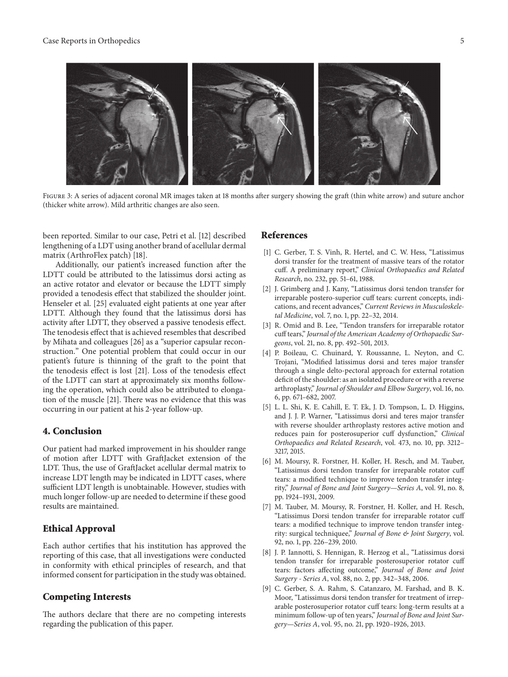#### Case Reports in Orthopedics 5



FIGURE 3: A series of adjacent coronal MR images taken at 18 months after surgery showing the graft (thin white arrow) and suture anchor (thicker white arrow). Mild arthritic changes are also seen.

<span id="page-4-9"></span>been reported. Similar to our case, Petri et al. [\[12](#page-5-2)] described lengthening of a LDT using another brand of acellular dermal matrix (ArthroFlex patch) [\[18\]](#page-5-8).

Additionally, our patient's increased function after the LDTT could be attributed to the latissimus dorsi acting as an active rotator and elevator or because the LDTT simply provided a tenodesis effect that stabilized the shoulder joint. Henseler et al. [\[25](#page-5-15)] evaluated eight patients at one year after LDTT. Although they found that the latissimus dorsi has activity after LDTT, they observed a passive tenodesis effect. The tenodesis effect that is achieved resembles that described by Mihata and colleagues [\[26\]](#page-5-16) as a "superior capsular reconstruction." One potential problem that could occur in our patient's future is thinning of the graft to the point that the tenodesis effect is lost [\[21\]](#page-5-10). Loss of the tenodesis effect of the LDTT can start at approximately six months following the operation, which could also be attributed to elongation of the muscle [\[21\]](#page-5-10). There was no evidence that this was occurring in our patient at his 2-year follow-up.

#### **4. Conclusion**

Our patient had marked improvement in his shoulder range of motion after LDTT with GraftJacket extension of the LDT. Thus, the use of GraftJacket acellular dermal matrix to increase LDT length may be indicated in LDTT cases, where sufficient LDT length is unobtainable. However, studies with much longer follow-up are needed to determine if these good results are maintained.

#### **Ethical Approval**

Each author certifies that his institution has approved the reporting of this case, that all investigations were conducted in conformity with ethical principles of research, and that informed consent for participation in the study was obtained.

#### **Competing Interests**

The authors declare that there are no competing interests regarding the publication of this paper.

#### **References**

- <span id="page-4-0"></span>[1] C. Gerber, T. S. Vinh, R. Hertel, and C. W. Hess, "Latissimus dorsi transfer for the treatment of massive tears of the rotator cuff. A preliminary report," *Clinical Orthopaedics and Related Research*, no. 232, pp. 51–61, 1988.
- <span id="page-4-1"></span>[2] J. Grimberg and J. Kany, "Latissimus dorsi tendon transfer for irreparable postero-superior cuff tears: current concepts, indications, and recent advances," *Current Reviews in Musculoskeletal Medicine*, vol. 7, no. 1, pp. 22–32, 2014.
- <span id="page-4-2"></span>[3] R. Omid and B. Lee, "Tendon transfers for irreparable rotator cuff tears," *Journal of the American Academy of Orthopaedic Surgeons*, vol. 21, no. 8, pp. 492–501, 2013.
- <span id="page-4-3"></span>[4] P. Boileau, C. Chuinard, Y. Roussanne, L. Neyton, and C. Trojani, "Modified latissimus dorsi and teres major transfer through a single delto-pectoral approach for external rotation deficit of the shoulder: as an isolated procedure or with a reverse arthroplasty," *Journal of Shoulder and Elbow Surgery*, vol. 16, no. 6, pp. 671–682, 2007.
- <span id="page-4-4"></span>[5] L. L. Shi, K. E. Cahill, E. T. Ek, J. D. Tompson, L. D. Higgins, and J. J. P. Warner, "Latissimus dorsi and teres major transfer with reverse shoulder arthroplasty restores active motion and reduces pain for posterosuperior cuff dysfunction," *Clinical Orthopaedics and Related Research*, vol. 473, no. 10, pp. 3212– 3217, 2015.
- <span id="page-4-5"></span>[6] M. Moursy, R. Forstner, H. Koller, H. Resch, and M. Tauber, "Latissimus dorsi tendon transfer for irreparable rotator cuff tears: a modified technique to improve tendon transfer integrity," *Journal of Bone and Joint Surgery—Series A*, vol. 91, no. 8, pp. 1924–1931, 2009.
- <span id="page-4-6"></span>[7] M. Tauber, M. Moursy, R. Forstner, H. Koller, and H. Resch, "Latissimus Dorsi tendon transfer for irreparable rotator cuff tears: a modified technique to improve tendon transfer integrity: surgical techniquee," *Journal of Bone & Joint Surgery*, vol. 92, no. 1, pp. 226–239, 2010.
- <span id="page-4-7"></span>[8] J. P. Iannotti, S. Hennigan, R. Herzog et al., "Latissimus dorsi tendon transfer for irreparable posterosuperior rotator cuff tears: factors affecting outcome," *Journal of Bone and Joint Surgery - Series A*, vol. 88, no. 2, pp. 342–348, 2006.
- <span id="page-4-8"></span>[9] C. Gerber, S. A. Rahm, S. Catanzaro, M. Farshad, and B. K. Moor, "Latissimus dorsi tendon transfer for treatment of irreparable posterosuperior rotator cuff tears: long-term results at a minimum follow-up of ten years," *Journal of Bone and Joint Surgery—Series A*, vol. 95, no. 21, pp. 1920–1926, 2013.